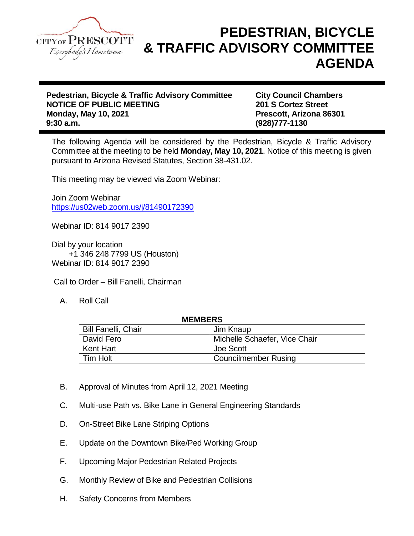

## **PEDESTRIAN, BICYCLE & TRAFFIC ADVISORY COMMITTEE AGENDA**

**Pedestrian, Bicycle & Traffic Advisory Committee City Council Chambers NOTICE OF PUBLIC MEETING 201 S Cortez Street Monday, May 10, 2021 Prescott, Arizona 86301 9:30 a.m. (928)777-1130**

The following Agenda will be considered by the Pedestrian, Bicycle & Traffic Advisory Committee at the meeting to be held **Monday, May 10, 2021**. Notice of this meeting is given pursuant to Arizona Revised Statutes, Section 38-431.02.

This meeting may be viewed via Zoom Webinar:

Join Zoom Webinar <https://us02web.zoom.us/j/81490172390>

Webinar ID: 814 9017 2390

Dial by your location +1 346 248 7799 US (Houston) Webinar ID: 814 9017 2390

Call to Order – Bill Fanelli, Chairman

A. Roll Call

| <b>MEMBERS</b>             |                               |
|----------------------------|-------------------------------|
| <b>Bill Fanelli, Chair</b> | Jim Knaup                     |
| David Fero                 | Michelle Schaefer, Vice Chair |
| Kent Hart                  | Joe Scott                     |
| l Tim Holt                 | <b>Councilmember Rusing</b>   |

- B. Approval of Minutes from April 12, 2021 Meeting
- C. Multi-use Path vs. Bike Lane in General Engineering Standards
- D. On-Street Bike Lane Striping Options
- E. Update on the Downtown Bike/Ped Working Group
- F. Upcoming Major Pedestrian Related Projects
- G. Monthly Review of Bike and Pedestrian Collisions
- H. Safety Concerns from Members